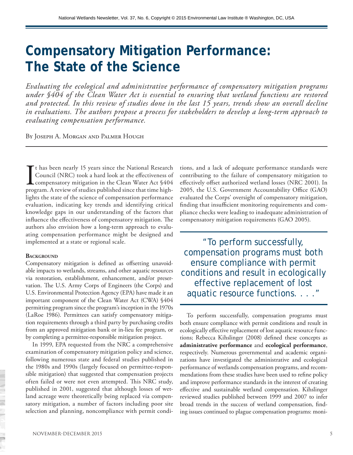# **Compensatory Mitigation Performance: The State of the Science**

*Evaluating the ecological and administrative performance of compensatory mitigation programs under §404 of the Clean Water Act is essential to ensuring that wetland functions are restored and protected. In this review of studies done in the last 15 years, trends show an overall decline in evaluations. The authors propose a process for stakeholders to develop a long-term approach to evaluating compensation performance.*

By Joseph A. Morgan and Palmer Hough

I<sub>pros</sub> t has been nearly 15 years since the National Research Council (NRC) took a hard look at the effectiveness of compensatory mitigation in the Clean Water Act §404 program. A review of studies published since that time highlights the state of the science of compensation performance evaluation, indicating key trends and identifying critical knowledge gaps in our understanding of the factors that influence the effectiveness of compensatory mitigation. The authors also envision how a long-term approach to evaluating compensation performance might be designed and implemented at a state or regional scale.

#### **BACKGROUND**

Compensatory mitigation is defined as offsetting unavoidable impacts to wetlands, streams, and other aquatic resources via restoration, establishment, enhancement, and/or preservation. The U.S. Army Corps of Engineers (the Corps) and U.S. Environmental Protection Agency (EPA) have made it an important component of the Clean Water Act (CWA) §404 permitting program since the program's inception in the 1970s (LaRoe 1986). Permittees can satisfy compensatory mitigation requirements through a third party by purchasing credits from an approved mitigation bank or in-lieu fee program, or by completing a permittee-responsible mitigation project.

In 1999, EPA requested from the NRC a comprehensive examination of compensatory mitigation policy and science, following numerous state and federal studies published in the 1980s and 1990s (largely focused on permittee-responsible mitigation) that suggested that compensation projects often failed or were not even attempted. This NRC study, published in 2001, suggested that although losses of wetland acreage were theoretically being replaced via compensatory mitigation, a number of factors including poor site selection and planning, noncompliance with permit conditions, and a lack of adequate performance standards were contributing to the failure of compensatory mitigation to effectively offset authorized wetland losses (NRC 2001). In 2005, the U.S. Government Accountability Office (GAO) evaluated the Corps' oversight of compensatory mitigation, finding that insufficient monitoring requirements and compliance checks were leading to inadequate administration of compensatory mitigation requirements (GAO 2005).

"To perform successfully, compensation programs must both ensure compliance with permit conditions and result in ecologically effective replacement of lost aquatic resource functions. . . ."

To perform successfully, compensation programs must both ensure compliance with permit conditions and result in ecologically effective replacement of lost aquatic resource functions; Rebecca Kihslinger (2008) defined these concepts as **administrative performance** and **ecological performance**, respectively. Numerous governmental and academic organizations have investigated the administrative and ecological performance of wetlands compensation programs, and recommendations from these studies have been used to refine policy and improve performance standards in the interest of creating effective and sustainable wetland compensation. Kihslinger reviewed studies published between 1999 and 2007 to infer broad trends in the success of wetland compensation, finding issues continued to plague compensation programs: moni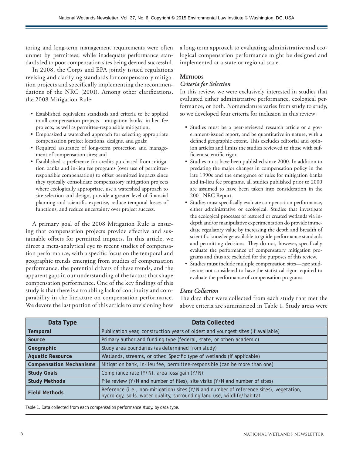toring and long-term management requirements were often unmet by permittees, while inadequate performance standards led to poor compensation sites being deemed successful.

In 2008, the Corps and EPA jointly issued regulations revising and clarifying standards for compensatory mitigation projects and specifically implementing the recommendations of the NRC (2001). Among other clarifications, the 2008 Mitigation Rule:

- • Established equivalent standards and criteria to be applied to all compensation projects—mitigation banks, in-lieu fee projects, as well as permittee-responsible mitigation;
- • Emphasized a watershed approach for selecting appropriate compensation project locations, designs, and goals;
- • Required assurance of long-term protection and management of compensation sites; and
- Established a preference for credits purchased from mitigation banks and in-lieu fee programs (over use of permitteeresponsible compensation) to offset permitted impacts since they typically consolidate compensatory mitigation projects where ecologically appropriate, use a watershed approach to site selection and design, provide a greater level of financial planning and scientific expertise, reduce temporal losses of functions, and reduce uncertainty over project success.

A primary goal of the 2008 Mitigation Rule is ensuring that compensation projects provide effective and sustainable offsets for permitted impacts. In this article, we direct a meta-analytical eye to recent studies of compensation performance, with a specific focus on the temporal and geographic trends emerging from studies of compensation performance, the potential drivers of these trends, and the apparent gaps in our understanding of the factors that shape compensation performance. One of the key findings of this study is that there is a troubling lack of continuity and comparability in the literature on compensation performance. We devote the last portion of this article to envisioning how a long-term approach to evaluating administrative and ecological compensation performance might be designed and implemented at a state or regional scale.

## **Methods**

#### *Criteria for Selection*

In this review, we were exclusively interested in studies that evaluated either administrative performance, ecological performance, or both. Nomenclature varies from study to study, so we developed four criteria for inclusion in this review:

- Studies must be a peer-reviewed research article or a government-issued report, and be quantitative in nature, with a defined geographic extent. This excludes editorial and opinion articles and limits the studies reviewed to those with sufficient scientific rigor.
- • Studies must have been published since 2000. In addition to predating the major changes in compensation policy in the late 1990s and the emergence of rules for mitigation banks and in-lieu fee programs, all studies published prior to 2000 are assumed to have been taken into consideration in the 2001 NRC Report.
- • Studies must specifically evaluate compensation performance, either administrative or ecological. Studies that investigate the ecological processes of restored or created wetlands via indepth and/or manipulative experimentation do provide immediate regulatory value by increasing the depth and breadth of scientific knowledge available to guide performance standards and permitting decisions. They do not, however, specifically evaluate the performance of compensatory mitigation programs and thus are excluded for the purposes of this review.
- Studies must include multiple compensation sites—case studies are not considered to have the statistical rigor required to evaluate the performance of compensation programs.

#### *Data Collection*

The data that were collected from each study that met the above criteria are summarized in Table 1. Study areas were

| Data Type                      | <b>Data Collected</b>                                                                                                                                              |
|--------------------------------|--------------------------------------------------------------------------------------------------------------------------------------------------------------------|
| Temporal                       | Publication year, construction years of oldest and youngest sites (if available)                                                                                   |
| Source                         | Primary author and funding type (federal, state, or other/academic)                                                                                                |
| Geographic                     | Study area boundaries (as determined from study)                                                                                                                   |
| <b>Aquatic Resource</b>        | Wetlands, streams, or other. Specific type of wetlands (if applicable)                                                                                             |
| <b>Compensation Mechanisms</b> | Mitigation bank, in-lieu fee, permittee-responsible (can be more than one)                                                                                         |
| <b>Study Goals</b>             | Compliance rate (Y/N), area loss/gain (Y/N)                                                                                                                        |
| <b>Study Methods</b>           | File review (Y/N and number of files), site visits (Y/N and number of sites)                                                                                       |
| <b>Field Methods</b>           | Reference (i.e., non-mitigation) sites (Y/N and number of reference sites), vegetation,<br>hydrology, soils, water quality, surrounding land use, wildlife/habitat |

Table 1. Data collected from each compensation performance study, by data type.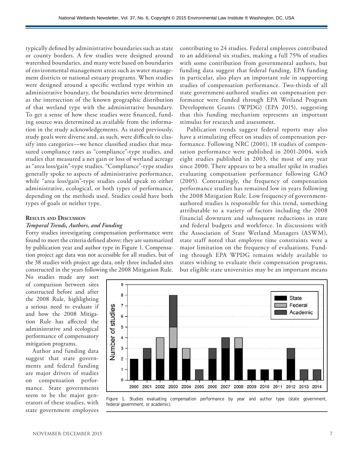typically defined by administrative boundaries such as state or county borders. A few studies were designed around watershed boundaries, and many were based on boundaries of environmental management areas such as water management districts or national estuary programs. When studies were designed around a specific wetland type within an administrative boundary, the boundaries were determined as the intersection of the known geographic distribution of that wetland type with the administrative boundary. To get a sense of how these studies were financed, funding source was determined as available from the information in the study acknowledgements. As stated previously, study goals were diverse and, as such, were difficult to classify into categories—we hence classified studies that measured compliance rates as "compliance"-type studies, and studies that measured a net gain or loss of wetland acreage as "area loss/gain"-type studies. "Compliance"-type studies generally spoke to aspects of administrative performance, while "area loss/gain"-type studies could speak to either administrative, ecological, or both types of performance, depending on the methods used. Studies could have both types of goals or neither type.

# **Results and Discussion**

## *Temporal Trends, Authors, and Funding*

Forty studies investigating compensation performance were found to meet the criteria defined above; they are summarized by publication year and author type in Figure 1. Compensation project age data was not accessible for all studies, but of the 38 studies with project age data, only three included sites constructed in the years following the 2008 Mitigation Rule.

No studies made any sort of comparison between sites constructed before and after the 2008 Rule, highlighting a serious need to evaluate if and how the 2008 Mitigation Rule has affected the administrative and ecological performance of compensatory mitigation programs.

Author and funding data suggest that state governments and federal funding are major drivers of studies on compensation performance. State governments seem to be the major generators of these studies, with state government employees contributing to 24 studies. Federal employees contributed to an additional six studies, making a full 75% of studies with some contribution from governmental authors, but funding data suggest that federal funding, EPA funding in particular, also plays an important role in supporting studies of compensation performance. Two-thirds of all state government-authored studies on compensation performance were funded through EPA Wetland Program Development Grants (WPDG) (EPA 2015), suggesting that this funding mechanism represents an important stimulus for research and assessment.

Publication trends suggest federal reports may also have a stimulating effect on studies of compensation performance. Following NRC (2001), 18 studies of compensation performance were published in 2001-2004, with eight studies published in 2003, the most of any year since 2000. There appears to be a smaller spike in studies evaluating compensation performance following GAO (2005). Contrastingly, the frequency of compensation performance studies has remained low in years following the 2008 Mitigation Rule. Low frequency of governmentauthored studies is responsible for this trend, something attributable to a variety of factors including the 2008 financial downturn and subsequent reductions in state and federal budgets and workforce. In discussions with the Association of State Wetland Managers (ASWM), state staff noted that employee time constraints were a major limitation on the frequency of evaluations. Funding through EPA WPDG remains widely available to states wishing to evaluate their compensation programs, but eligible state universities may be an important means



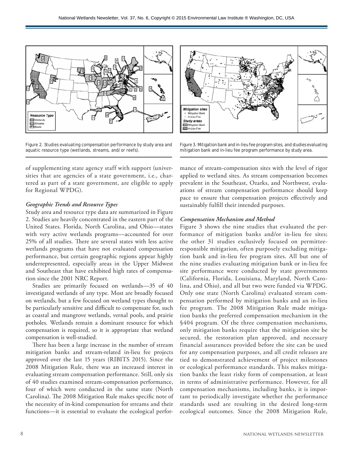

Figure 2. Studies evaluating compensation performance by study area and aquatic resource type (wetlands, streams, and/or reefs).

of supplementing state agency staff with support (universities that are agencies of a state government, i.e., chartered as part of a state government, are eligible to apply for Regional WPDG).

## *Geographic Trends and Resource Types*

Study area and resource type data are summarized in Figure 2. Studies are heavily concentrated in the eastern part of the United States. Florida, North Carolina, and Ohio—states with very active wetlands programs—accounted for over 25% of all studies. There are several states with less active wetlands programs that have not evaluated compensation performance, but certain geographic regions appear highly underrepresented, especially areas in the Upper Midwest and Southeast that have exhibited high rates of compensation since the 2001 NRC Report.

Studies are primarily focused on wetlands—35 of 40 investigated wetlands of any type. Most are broadly focused on wetlands, but a few focused on wetland types thought to be particularly sensitive and difficult to compensate for, such as coastal and mangrove wetlands, vernal pools, and prairie potholes. Wetlands remain a dominant resource for which compensation is required, so it is appropriate that wetland compensation is well-studied.

There has been a large increase in the number of stream mitigation banks and stream-related in-lieu fee projects approved over the last 15 years (RIBITS 2015). Since the 2008 Mitigation Rule, there was an increased interest in evaluating stream compensation performance. Still, only six of 40 studies examined stream-compensation performance, four of which were conducted in the same state (North Carolina). The 2008 Mitigation Rule makes specific note of the necessity of in-kind compensation for streams and their functions—it is essential to evaluate the ecological perfor-



Figure 3. Mitigation bank and in-lieu fee program sites, and studies evaluating mitigation bank and in-lieu fee program performance by study area.

mance of stream-compensation sites with the level of rigor applied to wetland sites. As stream compensation becomes prevalent in the Southeast, Ozarks, and Northwest, evaluations of stream compensation performance should keep pace to ensure that compensation projects effectively and sustainably fulfill their intended purposes.

#### *Compensation Mechanism and Method*

Figure 3 shows the nine studies that evaluated the performance of mitigation banks and/or in-lieu fee sites; the other 31 studies exclusively focused on permitteeresponsible mitigation, often purposely excluding mitigation bank and in-lieu fee program sites. All but one of the nine studies evaluating mitigation bank or in-lieu fee site performance were conducted by state governments (California, Florida, Louisiana, Maryland, North Carolina, and Ohio), and all but two were funded via WPDG. Only one state (North Carolina) evaluated stream compensation performed by mitigation banks and an in-lieu fee program. The 2008 Mitigation Rule made mitigation banks the preferred compensation mechanism in the §404 program. Of the three compensation mechanisms, only mitigation banks require that the mitigation site be secured, the restoration plan approved, and necessary financial assurances provided before the site can be used for any compensation purposes, and all credit releases are tied to demonstrated achievement of project milestones or ecological performance standards. This makes mitigation banks the least risky form of compensation, at least in terms of administrative performance. However, for all compensation mechanisms, including banks, it is important to periodically investigate whether the performance standards used are resulting in the desired long-term ecological outcomes. Since the 2008 Mitigation Rule,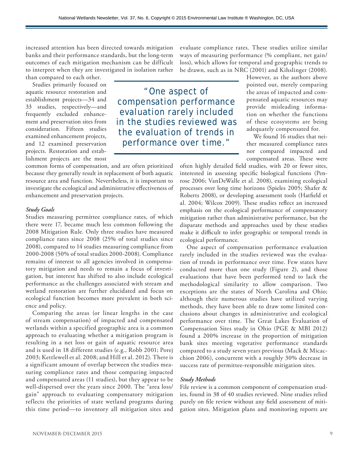increased attention has been directed towards mitigation banks and their performance standards, but the long-term outcomes of each mitigation mechanism can be difficult to interpret when they are investigated in isolation rather than compared to each other.

Studies primarily focused on aquatic resource restoration and establishment projects—34 and 33 studies, respectively—and frequently excluded enhancement and preservation sites from consideration. Fifteen studies examined enhancement projects, and 12 examined preservation projects. Restoration and establishment projects are the most

common forms of compensation, and are often prioritized because they generally result in replacement of both aquatic resource area and function. Nevertheless, it is important to investigate the ecological and administrative effectiveness of enhancement and preservation projects.

#### *Study Goals*

Studies measuring permittee compliance rates, of which there were 17, became much less common following the 2008 Mitigation Rule. Only three studies have measured compliance rates since 2008 (25% of total studies since 2008), compared to 14 studies measuring compliance from 2000-2008 (50% of total studies 2000-2008). Compliance remains of interest to all agencies involved in compensatory mitigation and needs to remain a focus of investigation, but interest has shifted to also include ecological performance as the challenges associated with stream and wetland restoration are further elucidated and focus on ecological function becomes more prevalent in both science and policy.

Comparing the areas (or linear lengths in the case of stream compensation) of impacted and compensated wetlands within a specified geographic area is a common approach to evaluating whether a mitigation program is resulting in a net loss or gain of aquatic resource area and is used in 18 different studies (e.g., Robb 2001; Porej 2003; Kettlewell et al. 2008; and Hill et al. 2012). There is a significant amount of overlap between the studies measuring compliance rates and those comparing impacted and compensated areas (11 studies), but they appear to be well-dispersed over the years since 2000. The "area loss/ gain" approach to evaluating compensatory mitigation reflects the priorities of state wetland programs during this time period—to inventory all mitigation sites and

evaluate compliance rates. These studies utilize similar ways of measuring performance (% compliant, net gain/ loss), which allows for temporal and geographic trends to be drawn, such as in NRC (2001) and Kihslinger (2008).

"One aspect of compensation performance evaluation rarely included in the studies reviewed was the evaluation of trends in performance over time."

However, as the authors above pointed out, merely comparing the areas of impacted and compensated aquatic resources may provide misleading information on whether the functions of these ecosystems are being adequately compensated for.

We found 16 studies that neither measured compliance rates nor compared impacted and compensated areas. These were

often highly detailed field studies, with 20 or fewer sites, interested in assessing specific biological functions (Penrose 2006; VanDeWalle et al. 2008), examining ecological processes over long time horizons (Spieles 2005; Shafer & Roberts 2008), or developing assessment tools (Hatfield et al. 2004; Wilcox 2009). These studies reflect an increased emphasis on the ecological performance of compensatory mitigation rather than administrative performance, but the disparate methods and approaches used by these studies make it difficult to infer geographic or temporal trends in ecological performance.

One aspect of compensation performance evaluation rarely included in the studies reviewed was the evaluation of trends in performance over time. Few states have conducted more than one study (Figure 2), and those evaluations that have been performed tend to lack the methodological similarity to allow comparison. Two exceptions are the states of North Carolina and Ohio; although their numerous studies have utilized varying methods, they have been able to draw some limited conclusions about changes in administrative and ecological performance over time. The Great Lakes Evaluation of Compensation Sites study in Ohio (PGE & MBI 2012) found a 200% increase in the proportion of mitigation bank sites meeting vegetative performance standards compared to a study seven years previous (Mack & Micacchion 2006), concurrent with a roughly 30% decrease in success rate of permittee-responsible mitigation sites.

#### *Study Methods*

File review is a common component of compensation studies, found in 38 of 40 studies reviewed. Nine studies relied purely on file review without any field assessment of mitigation sites. Mitigation plans and monitoring reports are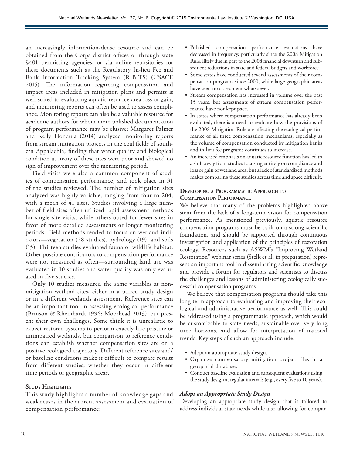an increasingly information-dense resource and can be obtained from the Corps district offices or through state §401 permitting agencies, or via online repositories for these documents such as the Regulatory In-lieu Fee and Bank Information Tracking System (RIBITS) (USACE 2015). The information regarding compensation and impact areas included in mitigation plans and permits is well-suited to evaluating aquatic resource area loss or gain, and monitoring reports can often be used to assess compliance. Monitoring reports can also be a valuable resource for academic authors for whom more polished documentation of program performance may be elusive; Margaret Palmer and Kelly Hondula (2014) analyzed monitoring reports from stream mitigation projects in the coal fields of southern Appalachia, finding that water quality and biological condition at many of these sites were poor and showed no sign of improvement over the monitoring period.

Field visits were also a common component of studies of compensation performance, and took place in 31 of the studies reviewed. The number of mitigation sites analyzed was highly variable, ranging from four to 204, with a mean of 41 sites. Studies involving a large number of field sites often utilized rapid-assessment methods for single-site visits, while others opted for fewer sites in favor of more detailed assessments or longer monitoring periods. Field methods tended to focus on wetland indicators—vegetation (28 studies), hydrology (19), and soils (15). Thirteen studies evaluated fauna or wildlife habitat. Other possible contributors to compensation performance were not measured as often—surrounding land use was evaluated in 10 studies and water quality was only evaluated in five studies.

Only 10 studies measured the same variables at nonmitigation wetland sites, either in a paired study design or in a different wetlands assessment. Reference sites can be an important tool in assessing ecological performance (Brinson & Rheinhardt 1996; Moorhead 2013), but present their own challenges. Some think it is unrealistic to expect restored systems to perform exactly like pristine or unimpaired wetlands, but comparison to reference conditions can establish whether compensation sites are on a positive ecological trajectory. Different reference sites and/ or baseline conditions make it difficult to compare results from different studies, whether they occur in different time periods or geographic areas.

#### **Study Highlights**

This study highlights a number of knowledge gaps and weaknesses in the current assessment and evaluation of compensation performance:

- • Published compensation performance evaluations have decreased in frequency, particularly since the 2008 Mitigation Rule, likely due in part to the 2008 financial downturn and subsequent reductions in state and federal budgets and workforce.
- • Some states have conducted several assessments of their compensation programs since 2000, while large geographic areas have seen no assessment whatsoever.
- Stream compensation has increased in volume over the past 15 years, but assessments of stream compensation performance have not kept pace.
- In states where compensation performance has already been evaluated, there is a need to evaluate how the provisions of the 2008 Mitigation Rule are affecting the ecological performance of all three compensation mechanisms, especially as the volume of compensation conducted by mitigation banks and in-lieu fee programs continues to increase.
- • An increased emphasis on aquatic resource function has led to a shift away from studies focusing entirely on compliance and loss or gain of wetland area, but a lack of standardized methods makes comparing these studies across time and space difficult.

#### **Developing a Programmatic Approach to Compensation Performance**

We believe that many of the problems highlighted above stem from the lack of a long-term vision for compensation performance. As mentioned previously, aquatic resource compensation programs must be built on a strong scientific foundation, and should be supported through continuous investigation and application of the principles of restoration ecology. Resources such as ASWM's "Improving Wetland Restoration" webinar series (Stelk et al. in preparation) represent an important tool in disseminating scientific knowledge and provide a forum for regulators and scientists to discuss the challenges and lessons of administering ecologically successful compensation programs.

We believe that compensation programs should take this long-term approach to evaluating and improving their ecological and administrative performance as well. This could be addressed using a programmatic approach, which would be customizable to state needs, sustainable over very long time horizons, and allow for interpretation of national trends. Key steps of such an approach include:

- Adopt an appropriate study design.
- • Organize compensatory mitigation project files in a geospatial database.
- Conduct baseline evaluation and subsequent evaluations using the study design at regular intervals (e.g., every five to 10 years).

#### *Adopt an Appropriate Study Design*

Developing an appropriate study design that is tailored to address individual state needs while also allowing for compar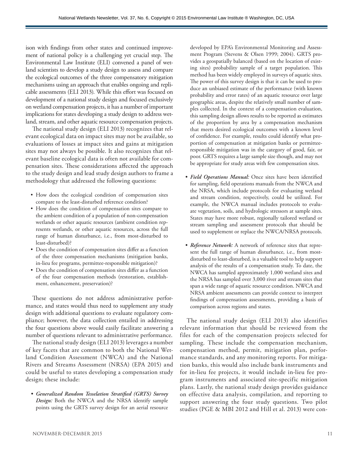ison with findings from other states and continued improvement of national policy is a challenging yet crucial step. The Environmental Law Institute (ELI) convened a panel of wetland scientists to develop a study design to assess and compare the ecological outcomes of the three compensatory mitigation mechanisms using an approach that enables ongoing and replicable assessments (ELI 2013). While this effort was focused on development of a national study design and focused exclusively on wetland compensation projects, it has a number of important implications for states developing a study design to address wetland, stream, and other aquatic resource compensation projects.

The national study design (ELI 2013) recognizes that relevant ecological data on impact sites may not be available, so evaluations of losses at impact sites and gains at mitigation sites may not always be possible. It also recognizes that relevant baseline ecological data is often not available for compensation sites. These considerations affected the approach to the study design and lead study design authors to frame a methodology that addressed the following questions:

- How does the ecological condition of compensation sites compare to the least-disturbed reference condition?
- • How does the condition of compensation sites compare to the ambient condition of a population of non-compensation wetlands or other aquatic resources (ambient condition represents wetlands, or other aquatic resources, across the full range of human disturbance, i.e., from most-disturbed to least-disturbed)?
- Does the condition of compensation sites differ as a function of the three compensation mechanisms (mitigation banks, in-lieu fee programs, permittee-responsible mitigation)?
- • Does the condition of compensation sites differ as a function of the four compensation methods (restoration, establishment, enhancement, preservation)?

These questions do not address administrative performance, and states would thus need to supplement any study design with additional questions to evaluate regulatory compliance; however, the data collection entailed in addressing the four questions above would easily facilitate answering a number of questions relevant to administrative performance.

The national study design (ELI 2013) leverages a number of key facets that are common to both the National Wetland Condition Assessment (NWCA) and the National Rivers and Streams Assessment (NRSA) (EPA 2015) and could be useful to states developing a compensation study design; these include:

*• Generalized Random Tesselation Stratified (GRTS) Survey Design:* Both the NWCA and the NRSA identify sample points using the GRTS survey design for an aerial resource developed by EPA's Environmental Monitoring and Assessment Program (Stevens & Olsen 1999; 2004). GRTS provides a geospatially balanced (based on the location of existing sites) probability sample of a target population. This method has been widely employed in surveys of aquatic sites. The power of this survey design is that it can be used to produce an unbiased estimate of the performance (with known probability and error rates) of an aquatic resource over large geographic areas, despite the relatively small number of samples collected. In the context of a compensation evaluation, this sampling design allows results to be reported as estimates of the proportion by area by a compensation mechanism that meets desired ecological outcomes with a known level of confidence. For example, results could identify what proportion of compensation at mitigation banks or permitteeresponsible mitigation was in the category of good, fair, or poor. GRTS requires a large sample size though, and may not be appropriate for study areas with few compensation sites.

- *• Field Operations Manual:* Once sites have been identified for sampling, field operations manuals from the NWCA and the NRSA, which include protocols for evaluating wetland and stream condition, respectively, could be utilized. For example, the NWCA manual includes protocols to evaluate vegetation, soils, and hydrologic stressors at sample sites. States may have more robust, regionally tailored wetland or stream sampling and assessment protocols that should be used to supplement or replace the NWCA/NRSA protocols.
- *• Reference Network:* A network of reference sites that represent the full range of human disturbance, i.e., from mostdisturbed to least-disturbed, is a valuable tool to help support analysis of the results of a compensation study. To date, the NWCA has sampled approximately 1,000 wetland sites and the NRSA has sampled over 3,000 river and stream sites that span a wide range of aquatic resource condition. NWCA and NRSA ambient assessments can provide context to interpret findings of compensation assessments, providing a basis of comparison across regions and states.

The national study design (ELI 2013) also identifies relevant information that should be reviewed from the files for each of the compensation projects selected for sampling. These include the compensation mechanism, compensation method, permit, mitigation plan, performance standards, and any monitoring reports. For mitigation banks, this would also include bank instruments and for in-lieu fee projects, it would include in-lieu fee program instruments and associated site-specific mitigation plans. Lastly, the national study design provides guidance on effective data analysis, compilation, and reporting to support answering the four study questions. Two pilot studies (PGE & MBI 2012 and Hill et al. 2013) were con-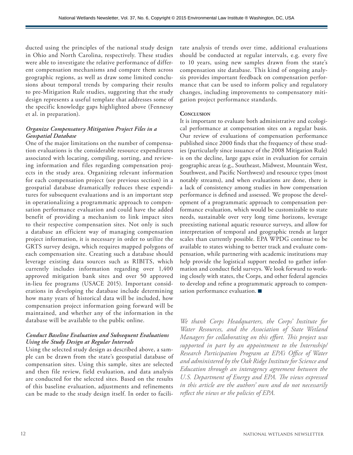ducted using the principles of the national study design in Ohio and North Carolina, respectively. These studies were able to investigate the relative performance of different compensation mechanisms and compare them across geographic regions, as well as draw some limited conclusions about temporal trends by comparing their results to pre-Mitigation Rule studies, suggesting that the study design represents a useful template that addresses some of the specific knowledge gaps highlighted above (Fennessy et al. in preparation).

## *Organize Compensatory Mitigation Project Files in a Geospatial Database*

One of the major limitations on the number of compensation evaluations is the considerable resource expenditures associated with locating, compiling, sorting, and reviewing information and files regarding compensation projects in the study area. Organizing relevant information for each compensation project (see previous section) in a geospatial database dramatically reduces these expenditures for subsequent evaluations and is an important step in operationalizing a programmatic approach to compensation performance evaluation and could have the added benefit of providing a mechanism to link impact sites to their respective compensation sites. Not only is such a database an efficient way of managing compensation project information, it is necessary in order to utilize the GRTS survey design, which requires mapped polygons of each compensation site. Creating such a database should leverage existing data sources such as RIBITS, which currently includes information regarding over 1,400 approved mitigation bank sites and over 50 approved in-lieu fee programs (USACE 2015). Important considerations in developing the database include determining how many years of historical data will be included, how compensation project information going forward will be maintained, and whether any of the information in the database will be available to the public online.

## *Conduct Baseline Evaluation and Subsequent Evaluations Using the Study Design at Regular Intervals*

Using the selected study design as described above, a sample can be drawn from the state's geospatial database of compensation sites. Using this sample, sites are selected and then file review, field evaluation, and data analysis are conducted for the selected sites. Based on the results of this baseline evaluation, adjustments and refinements can be made to the study design itself. In order to facilitate analysis of trends over time, additional evaluations should be conducted at regular intervals, e.g. every five to 10 years, using new samples drawn from the state's compensation site database. This kind of ongoing analysis provides important feedback on compensation performance that can be used to inform policy and regulatory changes, including improvements to compensatory mitigation project performance standards.

#### **CONCLUSION**

It is important to evaluate both administrative and ecological performance at compensation sites on a regular basis. Our review of evaluations of compensation performance published since 2000 finds that the frequency of these studies (particularly since issuance of the 2008 Mitigation Rule) is on the decline, large gaps exist in evaluation for certain geographic areas (e.g., Southeast, Midwest, Mountain West, Southwest, and Pacific Northwest) and resource types (most notably streams), and when evaluations are done, there is a lack of consistency among studies in how compensation performance is defined and assessed. We propose the development of a programmatic approach to compensation performance evaluation, which would be customizable to state needs, sustainable over very long time horizons, leverage preexisting national aquatic resource surveys, and allow for interpretation of temporal and geographic trends at larger scales than currently possible. EPA WPDG continue to be available to states wishing to better track and evaluate compensation, while partnering with academic institutions may help provide the logistical support needed to gather information and conduct field surveys. We look forward to working closely with states, the Corps, and other federal agencies to develop and refine a programmatic approach to compensation performance evaluation.

*We thank Corps Headquarters, the Corps' Institute for Water Resources, and the Association of State Wetland Managers for collaborating on this effort. This project was supported in part by an appointment to the Internship/ Research Participation Program at EPA's Office of Water and administered by the Oak Ridge Institute for Science and Education through an interagency agreement between the U.S. Department of Energy and EPA. The views expressed in this article are the authors' own and do not necessarily reflect the views or the policies of EPA.*